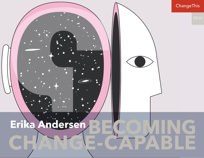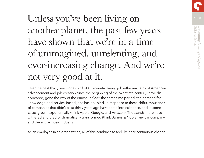

Unless you've been living on 205.03 another planet, the past few years have shown that we're in a time of unimagined, unrelenting, and ever-increasing change. And we're not very good at it.

Over the past thirty years one-third of US manufacturing jobs—the mainstay of American advancement and job creation since the beginning of the twentieth century—have disappeared, gone the way of the dinosaur. Over the same time period, the demand for knowledge-and service-based jobs has doubled. In response to these shifts, thousands of companies that didn't exist thirty years ago have come into existence, and in some cases grown exponentially (think Apple, Google, and Amazon). Thousands more have withered and died or dramatically transformed (think Barnes & Noble, any car company, and the entire music industry).

As an employee in an organization, all of this combines to feel like near-continuous change.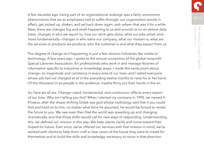A few decades ago, being part of an organizational redesign was a fairly uncommon phenomenon that we as employees had to suffer through: our organization would, in effect, get picked up, shaken, and set back down again, and—*whew*—that was it for a while. Now, there are changes big and small happening to us and around us on an almost daily basis: changes in who we report to, how our work gets done, what our jobs entail, and more fundamentally—changes in who owns our company, what our mission is, what are the services or products we produce, who the customer is and what they expect from us.

This degree of change isn't happening in just a few obvious industries like media or technology. A few years ago, I spoke to the annual convention of the global nonprofit Special Libraries Association, for professionals who work in and manage libraries of information specific to industries or knowledge areas. I made this same point about change—its magnitude and constancy in every area of our lives—and I asked everyone whose job *had not changed at all* in the preceding twelve months to raise his or her hand. Of the thousand or so people in the audience, maybe thirty put their hands in the air.

So, here we all are. Change—rapid, fundamental, and continuous—affects every aspect of our lives. Why am I telling you this? When I started my company in 1990, we named it Proteus, after the shape-shifting Greek sea-god whose mythology said that if you could find and hold on to him, no matter what form he assumed, he would be forced to reveal the future to you. We saw even then that the world was speeding up and changing dramatically, and that those shifts would call for new ways of responding. Understanding this, we defined our mission in this way: We help clients clarify and move toward their hoped-for future. Ever since, we've offered our services with that mission in mind; we've worked with clients to help them craft a clear vision of the future they want to create for themselves and to build the skills and knowledge necessary to move in that direction.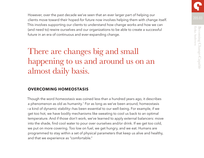205.03 However, over the past decade we've seen that an ever larger part of helping our clients move toward their hoped-for future now involves helping them with change itself. This involves supporting our clients to understand how change works and how we can (and need to) rewire ourselves and our organizations to be able to create a successful future in an era of continuous and ever-expanding change.

# There are changes big and small happening to us and around us on an almost daily basis.

## **OVERCOMING HOMEOSTASIS**

Though the word *homeostasis* was coined less than a hundred years ago, it describes a phenomenon as old as humanity.<sup>1</sup> For as long as we've been around, homeostasis —a kind of dynamic stability—has been essential to our well-being. For example, if we get too hot, we have bodily mechanisms like sweating to cool us back to an optimal temperature. And if those don't work, we've learned to apply external balancers: move into the shade, find cool water to pour over ourselves and/or drink. If we get too cold, we put on more covering. Too low on fuel, we get hungry, and we eat. Humans are programmed to stay within a set of physical parameters that keep us alive and healthy, and that we experience as "comfortable."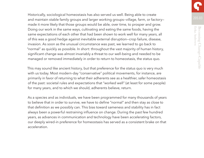Historically, sociological homeostasis has also served us well. Being able to create and maintain stable family groups and larger working groups—village, farm, or factory made it more likely that those groups would be able, over time, to prosper and grow. Doing our work in the same ways, cultivating and eating the same foods, having the same expectations of each other that had been shown to work well for many years, all of this was a good hedge against inevitable external disruption—crop failure, disease, invasion. As soon as the unusual circumstance was past, we learned to go back to "normal" as quickly as possible. In short: throughout the vast majority of human history, significant change was almost invariably a threat to our well-being and needed to be managed or removed immediately in order to return to homeostasis, the status quo.

This may sound like ancient history, but that preference for the status quo is very much with us today. Most modern-day "conservative" political movements, for instance, are primarily in favor of returning to what their adherents see as a healthier, safer homeostasis of the past: societal rules and expectations that "worked well" (at least for some people) for many years, and to which we should, adherents believe, return.

As a species and as individuals, we have been programmed for many thousands of years to believe that in order to survive, we have to define "normal" and then stay as close to that definition as we possibly can. This bias toward sameness and stability has in fact always been a powerful restraining influence on change. During the past few hundred years, as advances in communication and technology have been accelerating factors, our deeply wired-in preference for homeostasis has served as a consistent brake on that acceleration.

205.03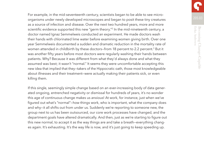For example, in the mid-seventeenth century, scientists began to be able to see microorganisms under newly developed microscopes and began to posit these tiny creatures as a source of infection and disease. Over the next two hundred years, more and more scientific evidence supported this new "germ theory."<sup>2</sup> In the mid-nineteenth century, a doctor named Ignaz Semmelweis conducted an experiment. He made doctors wash their hands with chlorinated lime water before examining women giving birth. Over one year Semmelweis documented a sudden and dramatic reduction in the mortality rate of women attended in childbirth by these doctors–from 18 percent to 2.2 percent.<sup>3</sup> But it was another fifty years before most doctors were regularly washing their hands between patients. Why? Because it was different from what they'd always done and what they assumed was best; it wasn't "normal." It seems they were uncomfortable accepting this new idea that implied that they—takers of the Hippocratic oath, those most knowledgeable about illnesses and their treatment—were actually making their patients sick, or even killing them.

If this single, seemingly simple change based on an ever-increasing body of data generated ongoing, entrenched negativity or dismissal for hundreds of years, it's no wonder this age of continuous change makes us anxious! At work, for instance, just when we've figured out what's "normal"—how things work, who is important, what the company does and why—it all shifts out from under us. Suddenly we're reporting to someone new, the group next to us has been outsourced, our core work processes have changed, and the department goals have altered dramatically. And then, just as we're starting to figure out this new normal, to accept it as the way things are and take a breath—everything changes again. It's exhausting. It's the way life is now, and it's just going to keep speeding up.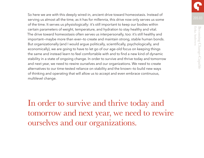So here we are with this deeply wired-in, ancient drive toward homeostasis. Instead of serving us almost all the time, as it has for millennia, this drive now only serves us some of the time. It serves us physiologically: it's still important to keep our bodies within certain parameters of weight, temperature, and hydration to stay healthy and vital. The drive toward homeostasis often serves us interpersonally, too: it's still healthy and important—maybe more than ever—to create and maintain strong, stable human bonds. But organizationally (and I would argue politically, scientifically, psychologically, and economically), we are going to have to let go of our age-old focus on keeping things the same and instead learn to feel comfortable with and to find a new kind of dynamic stability in a state of ongoing change. In order to survive and thrive today and tomorrow and next year, we need to rewire ourselves and our organizations. We need to create alternatives to our time-tested reliance on stability and the known—to build new ways of thinking and operating that will allow us to accept and even embrace continuous, multilevel change.

In order to survive and thrive today and tomorrow and next year, we need to rewire ourselves and our organizations.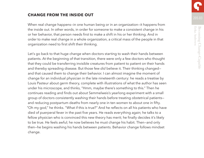## **CHANGE FROM THE INSIDE OUT**

When real change happens—in one human being or in an organization—it happens from the inside out. In other words, in order for someone to make a consistent change in his or her behavior, that person needs first to make a shift in his or her thinking. And in order to make real change in a whole organization, a critical mass of the people in that organization need to first shift their thinking.

Let's go back to that huge change when doctors starting to wash their hands between patients. At the beginning of that transition, there were only a few doctors who thought that they could be transferring invisible creatures from patient to patient on their hands and thereby spreading disease. But those few *did* believe it. Their thinking changed and that caused them to change their behavior. I can almost imagine the moment of change for an individual physician in the late nineteenth century: he reads a treatise by Louis Pasteur about germ theory, complete with illustrations of what the author has seen under his microscope, and thinks, "Hmm, maybe there's something to this." Then he continues reading and finds out about Semmelweis's yearlong experiment with a small group of doctors consistently washing their hands before treating obstetrical patients and reducing postpartum deaths from nearly one in ten women to about one in fifty. "Oh my god," he thinks. "What if this is true?" And he reflects on all his patients who have died of puerperal fever in the past five years. He reads everything again; he talks to a fellow physician who is convinced this new theory has merit; he finally decides it's likely to be true. He feels awful; he now believes he must change his habit. Then—and only then—he begins washing his hands between patients. Behavior change follows mindset change.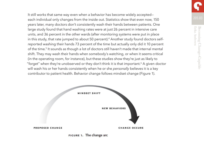It still works that same way even when a behavior has become widely accepted each individual only changes from the inside out. Statistics show that even now, 150 years later, many doctors don't consistently wash their hands between patients. One large study found that hand washing rates were at just 26 percent in intensive care units, and 36 percent in the other wards (after monitoring systems were put in place in this study, that rate jumped to about 50 percent).<sup>4</sup> Another study found doctors selfreported washing their hands 73 percent of the time but actually only did it 10 percent of the time.<sup>5</sup> It sounds as though a lot of doctors still haven't made that internal mental shift. They may wash their hands when somebody's watching, or when it seems critical (in the operating room, for instance), but these studies show they're just as likely to "forget" when they're unobserved or they don't think it is that important.<sup>6</sup> A given doctor will wash his or her hands consistently when he or she *personally* believes it is a key contributor to patient health. Behavior change follows mindset change (Figure 1).



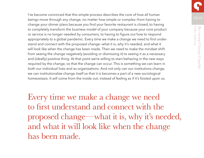I've become convinced that this simple process describes the core of how all human beings move through any change, no matter how simple or complex—from having to change your dinner plans because you find your favorite restaurant is closed, to having to completely transform the business model of your company because your core product or service is no longer needed by consumers, to having to figure out how to respond appropriately to a global pandemic. Every time we make a change we need to first understand and connect with the proposed change—what it is, why it's needed, and what it will look like when the change has been made. Then we need to make the mindset shift from seeing the change negatively (avoiding or dismissing it) to seeing it as a necessary and (ideally) positive thing. At that point we're willing to start behaving in the new ways required by the change, so that the change can occur. This is something we can learn in both our individual lives and as organizations. And not only can our institutions change, we can institutionalize change itself so that it is becomes a part of a new sociological homeostasis. It will come from the inside out, instead of feeling as if it's foisted upon us.

Every time we make a change we need to first understand and connect with the proposed change—what it is, why it's needed, and what it will look like when the change has been made.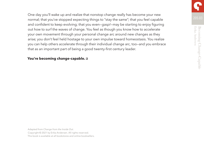One day you'll wake up and realize that nonstop change really has become your new normal; that you've stopped expecting things to "stay the same"; that you feel capable and confident to keep evolving; that you even—*gasp!*—may be starting to enjoy figuring out how to surf the waves of change. You feel as though you know how to accelerate your own movement through your personal change arc around new changes as they arise; you don't feel held hostage to your own impulse toward homeostasis. You realize you can help others accelerate through their individual change arc, too—and you embrace that as an important part of being a good twenty-first century leader.

### **You're becoming change-capable.**

Adapted from *Change from the Inside Out.*  Copyright © 2021 by Erika Andersen. All rights reserved. This book is available at all bookstores and online booksellers.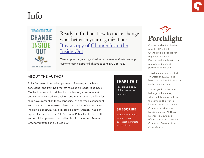## Info



Ready to find out how to make change work better in your organization? Buy a copy of [Change from the](https://www.porchlightbooks.com/product/change-from-the-inside-out-making-you-your-team-and-your-organization-change-capable--erika-andersen?variationCode=9781523000395) [Inside Out](https://www.porchlightbooks.com/product/change-from-the-inside-out-making-you-your-team-and-your-organization-change-capable--erika-andersen?variationCode=9781523000395)[.](https://www.porchlightbooks.com/product/move-the-forces-uprooting-us--parag-khanna)

Want copies for your organization or for an event? We can help: customerservice@porchlightbooks.com 800-236-7323

### ABOUT THE AUTHOR

Erika Andersen is founding partner of Proteus, a coaching, consulting, and training firm that focuses on leader readiness. Much of her recent work has focused on organizational vision and strategy, executive coaching, and management and leadership development. In these capacities, she serves as consultant and advisor to the top executives of a number of organizations, including Spectrum, Revolt Media, Spotify, Amazon, Madison Square Garden, and the Yale School of Public Health. She is the author of four previous bestselling books, including *Growing Great Employees* and *Be Bad First*.

### **[SHARE THIS](https://www.porchlightbooks.com/blog/changethis/2021/the-great-disconnect)**

Pass along a copy of this manifesto to others.

### **SUBSCRIBE**

Sign up for e-news to learn when our latest manifestos are available.



Curated and edited by the people of Porchlight, ChangeThis is a vehicle for big ideas to spread. Keep up with the latest book releases and ideas at porchlightbooks.com.

This document was created on October 20, 2021 and is based on the best information available at that time.

The copyright of this work belongs to the author, who is solely responsible for the content. This work is licensed under the Creative Commons Attribution-NonCommercial-NoDerivs License. To view a copy of this license, visit Creative Commons. Cover art from Adobe Stock.